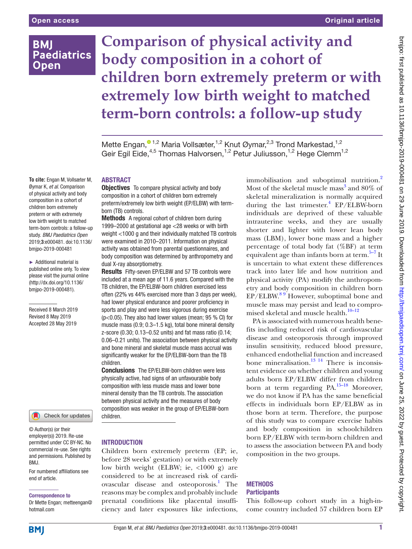# **BMI Paediatrics Open**

Øymar K, *et al*. Comparison of physical activity and body composition in a cohort of children born extremely preterm or with extremely low birth weight to matched term-born controls: a follow-up study. *BMJ Paediatrics Open* 2019;3:e000481. doi:10.1136/ bmjpo-2019-000481 ► Additional material is published online only. To view please visit the journal online ([http://dx.doi.org/10.1136/](http://dx.doi.org/10.1136bmjpo-2019-000481) [bmjpo-2019-000481](http://dx.doi.org/10.1136bmjpo-2019-000481)).

Received 8 March 2019 Revised 8 May 2019 Accepted 28 May 2019

# **Comparison of physical activity and body composition in a cohort of children born extremely preterm or with extremely low birth weight to matched term-born controls: a follow-up study**

Mette Engan,<sup>01,2</sup> Maria Vollsæter,<sup>1,2</sup> Knut Øymar,<sup>2,3</sup> Trond Markestad,<sup>1,2</sup> Geir Egil Eide,<sup>[4](http://orcid.org/0000-0001-9740-3700),5</sup> Thomas Halvorsen,<sup>1,2</sup> Petur Juliusson,<sup>1,2</sup> Hege Clemm<sup>1,2</sup>

#### **To cite:** Engan M, Vollsæter M, **ABSTRACT**

**Objectives** To compare physical activity and body composition in a cohort of children born extremely preterm/extremely low birth weight (EP/ELBW) with termborn (TB) controls.

**Methods** A regional cohort of children born during 1999–2000 at gestational age <28 weeks or with birth weight <1000 g and their individually matched TB controls were examined in 2010–2011. Information on physical activity was obtained from parental questionnaires, and body composition was determined by anthropometry and dual X-ray absorptiometry.

Results Fifty-seven EP/ELBW and 57 TB controls were included at a mean age of 11.6 years. Compared with the TB children, the EP/ELBW-born children exercised less often (22% vs 44% exercised more than 3 days per week), had lower physical endurance and poorer proficiency in sports and play and were less vigorous during exercise (p<0.05). They also had lower values (mean; 95 % CI) for muscle mass (0.9; 0.3–1.5 kg), total bone mineral density z-score (0.30; 0.13–0.52 units) and fat mass ratio (0.14; 0.06–0.21 units). The association between physical activity and bone mineral and skeletal muscle mass accrual was significantly weaker for the EP/ELBW-born than the TB children.

Conclusions The EP/ELBW-born children were less physically active, had signs of an unfavourable body composition with less muscle mass and lower bone mineral density than the TB controls. The association between physical activity and the measures of body composition was weaker in the group of EP/ELBW-born children.

Check for updates

© Author(s) (or their employer(s)) 2019. Re-use permitted under CC BY-NC. No commercial re-use. See rights and permissions. Published by BMJ.

For numbered affiliations see end of article.

Correspondence to

Dr Mette Engan; metteengan@ hotmail.com

#### **INTRODUCTION**

Children born extremely preterm (EP; ie, before 28 weeks' gestation) or with extremely low birth weight (ELBW; ie, <1000 g) are considered to be at increased risk of cardiovascular disease and osteoporosis.<sup>1</sup> The reasons may be complex and probably include prenatal conditions like placental insufficiency and later exposures like infections,

immobilisation and suboptimal nutrition.<sup>2</sup> Most of the skeletal muscle mass<sup>3</sup> and  $80\%$  of skeletal mineralization is normally acquired during the last trimester.<sup>4</sup> EP/ELBW-born individuals are deprived of these valuable intrauterine weeks, and they are usually shorter and lighter with lower lean body mass (LBM), lower bone mass and a higher percentage of total body fat  $(\%BF)$  at term equivalent age than infants born at term. $5-7$  It is uncertain to what extent these differences track into later life and how nutrition and physical activity (PA) modify the anthropometry and body composition in children born  $EP/ELBW<sup>89</sup>$  However, suboptimal bone and muscle mass may persist and lead to compromised skeletal and muscle health.<sup>10–12</sup>

PA is associated with numerous health benefits including reduced risk of cardiovascular disease and osteoporosis through improved insulin sensitivity, reduced blood pressure, enhanced endothelial function and increased bone mineralisation. $13 \tcdot 14$  There is inconsistent evidence on whether children and young adults born EP/ELBW differ from children born at term regarding PA.[15–18](#page-9-4) Moreover, we do not know if PA has the same beneficial effects in individuals born EP/ELBW as in those born at term. Therefore, the purpose of this study was to compare exercise habits and body composition in schoolchildren born EP/ELBW with term-born children and to assess the association between PA and body composition in the two groups.

#### **METHODS Participants**

This follow-up cohort study in a high-income country included 57 children born EP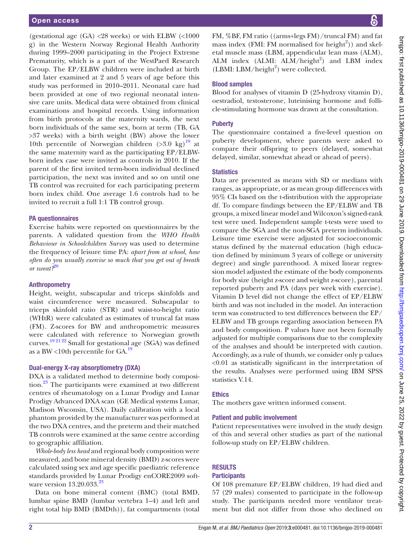(gestational age  $(GA)$  <28 weeks) or with ELBW  $($ <1000 g) in the Western Norway Regional Health Authority during 1999–2000 participating in the Project Extreme Prematurity, which is a part of the WestPaed Research Group. The EP/ELBW children were included at birth and later examined at 2 and 5 years of age before this study was performed in 2010–2011. Neonatal care had been provided at one of two regional neonatal intensive care units. Medical data were obtained from clinical examinations and hospital records. Using information from birth protocols at the maternity wards, the next born individuals of the same sex, born at term (TB, GA >37 weeks) with a birth weight (BW) above the lower 10th percentile of Norwegian children  $(>3.0 \text{ kg})^{19}$  $(>3.0 \text{ kg})^{19}$  $(>3.0 \text{ kg})^{19}$  at the same maternity ward as the participating EP/ELBWborn index case were invited as controls in 2010. If the parent of the first invited term-born individual declined participation, the next was invited and so on until one TB control was recruited for each participating preterm born index child. One average 1.6 controls had to be invited to recruit a full 1:1 TB control group.

#### PA questionnaires

Exercise habits were reported on questionnaires by the parents. A validated question from the *WHO Health Behaviour in Schoolchildren Survey* was used to determine the frequency of leisure time PA: *apart from at school, how often do you usually exercise so much that you get out of breath or sweat?*[20](#page-9-6)

#### Anthropometry

Height, weight, subscapular and triceps skinfolds and waist circumference were measured. Subscapular to triceps skinfold ratio (STR) and waist-to-height ratio (WHtR) were calculated as estimates of truncal fat mass (FM). Z-scores for BW and anthropometric measures were calculated with reference to Norwegian growth curves[.19 21 22](#page-9-5) Small for gestational age (SGA) was defined as a BW <10th percentile for  $GA.<sup>19</sup>$  $GA.<sup>19</sup>$  $GA.<sup>19</sup>$ 

#### Dual-energy X-ray absorptiometry (DXA)

DXA is a validated method to determine body composition.<sup>23</sup> The participants were examined at two different centres of rheumatology on a Lunar Prodigy and Lunar Prodigy Advanced DXA scan (GE Medical systems Lunar, Madison Wsconsin, USA). Daily calibration with a local phantom provided by the manufacturer was performed at the two DXA centres, and the preterm and their matched TB controls were examined at the same centre according to geographic affiliation.

*Whole-body less head* and regional body composition were measured, and bone mineral density (BMD) z-scores were calculated using sex and age specific paediatric reference standards provided by Lunar Prodigy enCORE2009 software version  $13.20.033^{23}$  $13.20.033^{23}$  $13.20.033^{23}$ 

Data on bone mineral content (BMC) (total BMD, lumbar spine BMD (lumbar vertebra 1–4) and left and right total hip BMD (BMDth)), fat compartments (total FM, %BF, FM ratio ((arms+legs FM)/truncal FM) and fat mass index (FMI: FM normalised for height<sup>2</sup>)) and skeletal muscle mass (LBM, appendicular lean mass (ALM), ALM index (ALMI: ALM/height<sup>2</sup>) and LBM index (LBMI: LBM/height<sup>2</sup>) were collected.

#### Blood samples

Blood for analyses of vitamin D (25-hydroxy vitamin D), oestradiol, testosterone, luteinising hormone and follicle-stimulating hormone was drawn at the consultation.

### **Puberty**

The questionnaire contained a five-level question on puberty development, where parents were asked to compare their offspring to peers (delayed, somewhat delayed, similar, somewhat ahead or ahead of peers).

#### **Statistics**

Data are presented as means with SD or medians with ranges, as appropriate, or as mean group differences with 95% CIs based on the t-distribution with the appropriate df. To compare findings between the EP/ELBW and TB groups, a mixed linear model and Wilcoxon's signed-rank test were used. Independent sample t-tests were used to compare the SGA and the non-SGA preterm individuals. Leisure time exercise were adjusted for socioeconomic status defined by the maternal education (high education defined by minimum 3 years of college or university degree) and single parenthood. A mixed linear regression model adjusted the estimate of the body components for body size (height z-score and weight z-score), parental reported puberty and PA (days per week with exercise). Vitamin D level did not change the effect of EP/ELBW birth and was not included in the model. An interaction term was constructed to test differences between the EP/ ELBW and TB groups regarding association between PA and body composition. P values have not been formally adjusted for multiple comparisons due to the complexity of the analyses and should be interpreted with caution. Accordingly, as a rule of thumb, we consider only p values <0.01 as statistically significant in the interpretation of the results. Analyses were performed using IBM SPSS statistics V.14.

#### **Ethics**

The mothers gave written informed consent.

#### Patient and public involvement

Patient representatives were involved in the study design of this and several other studies as part of the national follow-up study on EP/ELBW children.

#### **RESULTS Participants**

Of 108 premature EP/ELBW children, 19 had died and 57 (29 males) consented to participate in the follow-up study. The participants needed more ventilator treatment but did not differ from those who declined on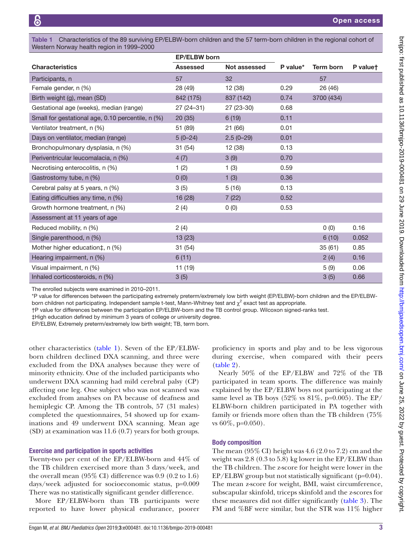<span id="page-2-0"></span>Table 1 Characteristics of the 89 surviving EP/ELBW-born children and the 57 term-born children in the regional cohort of Western Norway health region in 1999–2000

|                                                   | <b>EP/ELBW</b> born |              |          |            |          |
|---------------------------------------------------|---------------------|--------------|----------|------------|----------|
| <b>Characteristics</b>                            | <b>Assessed</b>     | Not assessed | P value* | Term born  | P valuet |
| Participants, n                                   | 57                  | 32           |          | 57         |          |
| Female gender, n (%)                              | 28 (49)             | 12 (38)      | 0.29     | 26 (46)    |          |
| Birth weight (g), mean (SD)                       | 842 (175)           | 837 (142)    | 0.74     | 3700 (434) |          |
| Gestational age (weeks), median (range)           | $27(24-31)$         | 27 (23-30)   | 0.68     |            |          |
| Small for gestational age, 0.10 percentile, n (%) | 20(35)              | 6(19)        | 0.11     |            |          |
| Ventilator treatment, n (%)                       | 51 (89)             | 21 (66)      | 0.01     |            |          |
| Days on ventilator, median (range)                | $5(0-24)$           | $2.5(0-29)$  | 0.01     |            |          |
| Bronchopulmonary dysplasia, n (%)                 | 31(54)              | 12 (38)      | 0.13     |            |          |
| Periventricular leucomalacia, n (%)               | 4(7)                | 3(9)         | 0.70     |            |          |
| Necrotising enterocolitis, n (%)                  | 1(2)                | 1(3)         | 0.59     |            |          |
| Gastrostomy tube, n (%)                           | 0(0)                | 1(3)         | 0.36     |            |          |
| Cerebral palsy at 5 years, n (%)                  | 3(5)                | 5(16)        | 0.13     |            |          |
| Eating difficulties any time, n (%)               | 16 (28)             | 7(22)        | 0.52     |            |          |
| Growth hormone treatment, n (%)                   | 2(4)                | 0(0)         | 0.53     |            |          |
| Assessment at 11 years of age                     |                     |              |          |            |          |
| Reduced mobility, n (%)                           | 2(4)                |              |          | 0(0)       | 0.16     |
| Single parenthood, n (%)                          | 13(23)              |              |          | 6(10)      | 0.052    |
| Mother higher education‡, n (%)                   | 31(54)              |              |          | 35(61)     | 0.85     |
| Hearing impairment, n (%)                         | 6(11)               |              |          | 2(4)       | 0.16     |
| Visual impairment, n (%)                          | 11 (19)             |              |          | 5(9)       | 0.06     |
| Inhaled corticosteroids, n (%)                    | 3(5)                |              |          | 3(5)       | 0.66     |

The enrolled subjects were examined in 2010–2011.

\*P value for differences between the participating extremely preterm/extremely low birth weight (EP/ELBW)-born children and the EP/ELBWborn children not participating. Independent sample t-test, Mann-Whitney test and  $\chi^2$  exact test as appropriate.

†P value for differences between the participation EP/ELBW-born and the TB control group. Wilcoxon signed-ranks test.

‡High education defined by minimum 3 years of college or university degree.

EP/ELBW, Extremely preterm/extremely low birth weight; TB, term born.

other characteristics ([table](#page-2-0) 1). Seven of the EP/ELBWborn children declined DXA scanning, and three were excluded from the DXA analyses because they were of minority ethnicity. One of the included participants who underwent DXA scanning had mild cerebral palsy (CP) affecting one leg. One subject who was not scanned was excluded from analyses on PA because of deafness and hemiplegic CP. Among the TB controls, 57 (31 males) completed the questionnaires, 54 showed up for examinations and 49 underwent DXA scanning. Mean age (SD) at examination was 11.6 (0.7) years for both groups.

#### Exercise and participation in sports activities

Twenty-two per cent of the EP/ELBW-born and 44% of the TB children exercised more than 3 days/week, and the overall mean (95% CI) difference was 0.9 (0.2 to 1.6) days/week adjusted for socioeconomic status, p=0.009 There was no statistically significant gender difference.

More EP/ELBW-born than TB participants were reported to have lower physical endurance, poorer

proficiency in sports and play and to be less vigorous during exercise, when compared with their peers [\(table](#page-3-0) 2).

Nearly 50% of the EP/ELBW and 72% of the TB participated in team sports. The difference was mainly explained by the EP/ELBW boys not participating at the same level as TB boys (52% vs  $81\%$ , p=0.005). The EP/ ELBW-born children participated in PA together with family or friends more often than the TB children (75% vs  $60\%$ , p= $0.050$ ).

#### Body composition

The mean (95% CI) height was 4.6 (2.0 to 7.2) cm and the weight was 2.8 (0.3 to 5.8) kg lower in the EP/ELBW than the TB children. The z-score for height were lower in the  $EP/ELBW$  group but not statistically significant (p=0.04). The mean z-score for weight, BMI, waist circumference, subscapular skinfold, triceps skinfold and the z-scores for these measures did not differ significantly [\(table](#page-4-0) 3). The FM and %BF were similar, but the STR was 11% higher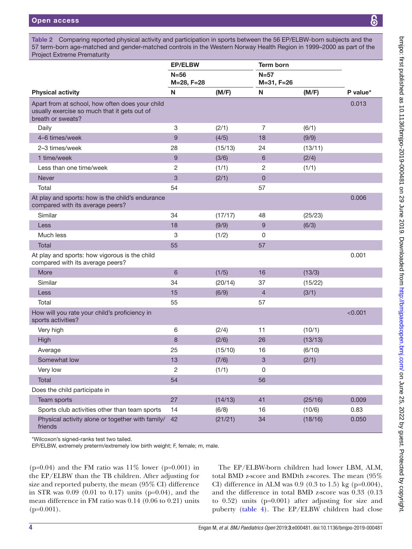<span id="page-3-0"></span>Table 2 Comparing reported physical activity and participation in sports between the 56 EP/ELBW-born subjects and the 57 term-born age-matched and gender-matched controls in the Western Norway Health Region in 1999–2000 as part of the Project Extreme Prematurity

|                                                                                                                      | <b>EP/ELBW</b>         |         | <b>Term born</b>     |         |          |
|----------------------------------------------------------------------------------------------------------------------|------------------------|---------|----------------------|---------|----------|
|                                                                                                                      | $N = 56$<br>M=28, F=28 |         | $N=57$<br>M=31, F=26 |         |          |
| <b>Physical activity</b>                                                                                             | N                      | (M/F)   | Ν                    | (M/F)   | P value* |
| Apart from at school, how often does your child<br>usually exercise so much that it gets out of<br>breath or sweats? |                        |         |                      |         | 0.013    |
| Daily                                                                                                                | 3                      | (2/1)   | 7                    | (6/1)   |          |
| 4-6 times/week                                                                                                       | 9                      | (4/5)   | 18                   | (9/9)   |          |
| 2-3 times/week                                                                                                       | 28                     | (15/13) | 24                   | (13/11) |          |
| 1 time/week                                                                                                          | 9                      | (3/6)   | 6                    | (2/4)   |          |
| Less than one time/week                                                                                              | $\mathbf{2}$           | (1/1)   | 2                    | (1/1)   |          |
| <b>Never</b>                                                                                                         | 3                      | (2/1)   | $\mathbf 0$          |         |          |
| Total                                                                                                                | 54                     |         | 57                   |         |          |
| At play and sports: how is the child's endurance<br>compared with its average peers?                                 |                        |         |                      |         | 0.006    |
| Similar                                                                                                              | 34                     | (17/17) | 48                   | (25/23) |          |
| Less                                                                                                                 | 18                     | (9/9)   | 9                    | (6/3)   |          |
| Much less                                                                                                            | 3                      | (1/2)   | 0                    |         |          |
| Total                                                                                                                | 55                     |         | 57                   |         |          |
| At play and sports: how vigorous is the child<br>compared with its average peers?                                    |                        |         |                      |         | 0.001    |
| More                                                                                                                 | $6\phantom{1}$         | (1/5)   | 16                   | (13/3)  |          |
| Similar                                                                                                              | 34                     | (20/14) | 37                   | (15/22) |          |
| Less                                                                                                                 | 15                     | (6/9)   | $\overline{4}$       | (3/1)   |          |
| Total                                                                                                                | 55                     |         | 57                   |         |          |
| How will you rate your child's proficiency in<br>sports activities?                                                  |                        |         |                      |         | < 0.001  |
| Very high                                                                                                            | 6                      | (2/4)   | 11                   | (10/1)  |          |
| High                                                                                                                 | 8                      | (2/6)   | 26                   | (13/13) |          |
| Average                                                                                                              | 25                     | (15/10) | 16                   | (6/10)  |          |
| Somewhat low                                                                                                         | 13                     | (7/6)   | 3                    | (2/1)   |          |
| Very low                                                                                                             | $\overline{2}$         | (1/1)   | 0                    |         |          |
| Total                                                                                                                | 54                     |         | 56                   |         |          |
| Does the child participate in                                                                                        |                        |         |                      |         |          |
| Team sports                                                                                                          | 27                     | (14/13) | 41                   | (25/16) | 0.009    |
| Sports club activities other than team sports                                                                        | 14                     | (6/8)   | 16                   | (10/6)  | 0.83     |
| Physical activity alone or together with family/<br>friends                                                          | 42                     | (21/21) | 34                   | (18/16) | 0.050    |

\*Wilcoxon's signed-ranks test two tailed.

EP/ELBW, extremely preterm/extremely low birth weight; F, female; m, male.

 $(p=0.04)$  and the FM ratio was  $11\%$  lower (p=0.001) in the EP/ELBW than the TB children. After adjusting for size and reported puberty, the mean (95% CI) difference in STR was  $0.09$   $(0.01$  to  $0.17)$  units  $(p=0.04)$ , and the mean difference in FM ratio was 0.14 (0.06 to 0.21) units  $(p=0.001)$ .

The EP/ELBW-born children had lower LBM, ALM, total BMD z-score and BMDth z-scores. The mean (95% CI) difference in ALM was  $0.9$   $(0.3 \text{ to } 1.5)$  kg  $(p=0.004)$ , and the difference in total BMD z-score was 0.33 (0.13 to 0.52) units (p=0.001) after adjusting for size and puberty [\(table](#page-6-0) 4). The EP/ELBW children had close 2019. Downloaded from http://bmjpaedsopen.bmj.com/ on June 25, 2022 by guest. Protected by copyright

၆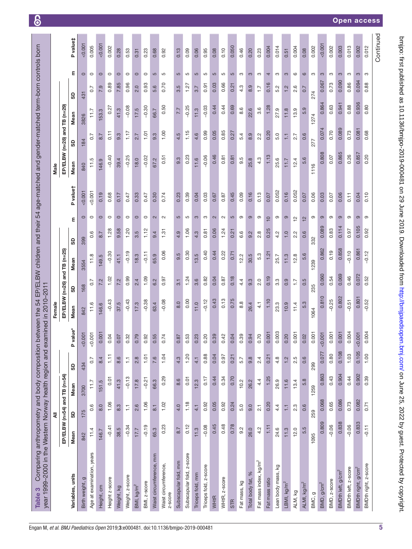| year 1999-2000 in the Western Norway health region and examined in 2010-2011 |               | ₹                       |                              |                  |                           | Female                       |                            |               |                      |                 |          | Male           |       |                     |                |                |           |
|------------------------------------------------------------------------------|---------------|-------------------------|------------------------------|------------------|---------------------------|------------------------------|----------------------------|---------------|----------------------|-----------------|----------|----------------|-------|---------------------|----------------|----------------|-----------|
|                                                                              |               |                         | EP/ELBW (n=54) and TB (n=54) |                  |                           | EP/ELBW (n=26) and TB (n=25) |                            |               |                      |                 |          | EP/ELBW (n=28) |       | and $TB$ ( $n=29$ ) |                |                |           |
| Variables, units                                                             | Mean          | မ္ဟ                     | Mean                         | မ္ဟ              | P value*                  | Mean                         | မ္ဟ                        | Mean          | င္ဟ                  | ٤               | P valuet | Mean           | မ္ဟ   | Mean                | မ္ဟ            | ε              | P value‡  |
| Birth weight, g                                                              | 842           | 175                     | 3700                         | 434              | 001<br>ଟ୍                 | 842                          | 168                        | 3554          | 399                  | $\circ$         | 0.007    | 840            | 184   | 3826                | 431            | $\circ$        | &0.001    |
| Age at examination, years                                                    | 11.4          | 0.6                     | 7.17                         | $\overline{0.7}$ | 0.001                     | $\frac{6}{11}$               | 0.7                        | 11.8          | 0.6                  | $\circ$         | 0.007    | 11.5           | 0.7   | 11.7                | 0.7            | $\circ$        | 0.005     |
| Height, cm                                                                   | 146.7         | 8.0                     | 151.5                        | 8.4              | 0.001                     | 146.6                        | 7.2                        | 149.5         | 8.7                  | $\circ$         | 0.19     | 146.9          | 8.7   | 153.3               | 7.9            | $\circ$        | 0.001     |
| Height z-score                                                               | $-0.41$       | 1.06                    | 0.01                         | $\overline{1.1}$ | $\overline{d}$<br>$\circ$ | $-0.43$                      | 1.02                       | $-0.30$       | 1.28                 | $\circ$         | 0.68     | $-0.40$        | 0.11  | 0.27                | 0.89           | $\circ$        | 0.002     |
| Weight, kg                                                                   | 38.5          | 8.3                     | 41.3                         | 8.6              | 0.07                      | 37.5                         | 7.2                        | 41.1          | 9.58                 | $\circ$         | 0.17     | 39.4           | 9.3   | 41.3                | 7.85           | $\circ$        | 0.28      |
| Weight, z-score                                                              | $-0.34$       | $\overline{\mathbb{H}}$ | $-0.13$                      | 들                | 0.32                      | $-0.43$                      | 0.99                       | $-0.19$       | 20<br>$\overline{ }$ | $\circ$         | 0.47     | $-0.25$        | 1.17  | $-0.08$             | 0.96           | $\circ$        | 0.53      |
| BMI, kg/m <sup>2</sup>                                                       | 17.7          | 2.6                     | 17.8                         | 2.8              | 0.79                      | 17.3                         | 2.4                        | 18.3          | 3.5                  | $\circ$         | 0.33     | 18.0           | 2.7   | 17.5                | 2.0            | $\circ$        | 0.31      |
| BMI, z-score                                                                 | $-0.19$       | 1.06                    | $-0.21$                      | 1.01             | 0.92                      | $-0.38$                      | 1.09                       | $-0.11$       | 1.12                 | $\circ$         | 0.47     | $-0.02$        | 1.01  | $-0.30$             | 0.93           | $\circ$        | 0.23      |
| Waist circumference, mm                                                      | 65.3          | $\overline{8}$          | 66.3                         | 7.6              | 55<br>$\circ$             | 63.4                         | 6.2                        | 65.9          | 9.4                  | $\mathbf{C}$    | 0.30     | 67.2           | 9.3   | 66.7                | 5.6            | $\overline{5}$ | 0.68      |
| Waist circumference,<br>z-score                                              | 0.23          | 1.02                    | 0.29                         | 1.04             | $\overline{z}$<br>$\circ$ | $-0.08$                      | 0.97                       | 0.06          | 1.31                 | $\sim$          | 0.74     | 0.51           | 1.00  | 0.50                | 0.70           | S              | 0.92      |
| Subscapular fold, mm                                                         | 8.7           | 4.0                     | 8.6                          | 4.3              | 78.<br>Ö                  | 8.0                          | 3.1                        | 9.5           | 4.9                  | 5               | 0.23     | 9.3            | 4.5   | 7.7                 | 3.5            | 5              | 0.13      |
| Subscapular fold, z-score                                                    | 0.12          | 1.18                    | 0.01                         | 1.20             | 53<br>O                   | 0.00                         | 1.24                       | 0.30          | 1.06                 | 5               | 0.39     | 0.23           | 1.15  | $-0.25$             | 1.27           | 5              | 0.09      |
| Triceps fold, mm                                                             | 11.3          | 4.1                     | 12.3                         | 4.1              | 23<br>$\circ$             | 11.0                         | 3.6                        | 13.5          | 4.3                  | S               | 0.04     | 11.6           | 4.6   | 11.3                | 3.7            | $\overline{5}$ | 0.06      |
| Triceps fold, z-score                                                        | $-0.08$       | 0.92                    | 0.17                         | 0.88             | 20<br>$\circ$             | $-0.12$                      | 0.82                       | 0.40          | 0.81                 | S               | 0.03     | $-0.06$        | 0.99  | $-0.03$             | 0.91           | 5              | 0.95      |
| WHtR                                                                         | 0.45          | 0.05                    | 0.44                         | 0.04             | 39<br>$\circ$             | 0.43                         | 0.04                       | 0.44          | 0.06                 | 2               | 0.67     | 0.46           | 0.05  | 0.44                | 0.03           | 5              | 0.08      |
| WHtR, z-score                                                                | 0.48          | 0.92                    | 0.34                         | 0.97             | 42<br>O                   | 0.13                         | 0.87                       | 0.22          | 1.24                 | $\sim$          | 0.87     | 0.87           | 0.85  | 0.44                | 0.66           | 5              | 0.10      |
| <b>STR</b>                                                                   | 0.78          | 0.24                    | 0.70                         | 0.21             | 04<br>$\circ$             | 0.75                         | 0.18                       | 0.71          | 0.21                 | 5               | 0.45     | 0.81           | 0.27  | 0.69                | 0.21           | 5              | 0.050     |
| Fat mass, kg                                                                 | 9.2           | 5.0                     | 10.2                         | 5.7              | 0.39                      | $_{\rm 8.8}$                 | 4.4                        | 12.2          | 6.6                  | ၜ               | 0.09     | 9.5            | 5.4   | 8.6                 | 4.3            | S              | 0.46      |
| $\%$<br>Total body fat,                                                      | 26.0          | 9.0                     | 26.2                         | 9.8              | 0.94                      | 26.4                         | 9.3                        | 30.5          | 9.2                  | ၜ               | 0.16     | 25.8           | 8.9   | 22.6                | 8.9            | S              | 0.20      |
| Fat mass index, kg/m <sup>2</sup>                                            | 4.2           | $\overline{2.1}$        | 4.4                          | 2.4              | 0.70                      | 4.1                          | 2.0                        | 5.3           | 2.8                  | ၜ               | 0.13     | 4.3            | 2.2   | 3.6                 | $\overline{1}$ | S              | 0.23      |
| Fat mass ratio                                                               | $\frac{1}{1}$ | 0.20                    | 1.25                         | 0.21             | 0.001                     | 1.10                         | 0.19                       | $\frac{1}{2}$ | 0.25                 | $\overline{10}$ | 0.07     | 1.13           | 0.20  | 1.28                | 0.16           | 4              | 0.004     |
| Lean body mass, kg                                                           | 24.6          | 4.4                     | 26.9                         | 4.8              | .003<br>$\circ$           | 23.3                         | $3.\overline{3}$           | 25.7          | 4.2                  | ၜ               | 0.052    | 25.6           | 5.0   | 27.9                | 5.2            | S              | 0.014     |
| LBMI, kg/m <sup>2</sup>                                                      | 11.3          | H                       | 11.6                         | 1.2              | 0.20                      | 10.9                         | 0.9                        | 11.3          | $\overline{1}$ .0    | $\circ$         | 0.16     | 7.7            | Ξ     | 11.8                | 1.2            | S              | 0.51      |
| ALM, kg                                                                      | 12.0          | 2.3                     | 13.4                         | 2.5              | $-001$<br>$\circ$         | 11.4                         | $\overline{\phantom{a}}$ : | 12.8          | 2.2                  | $\frac{1}{2}$   | 0.052    | 12.4           | 2.7   | 13.9                | 2.6            | 6              | 0.004     |
| ALMI, kg/m <sup>2</sup>                                                      | 5.5           | 0.6                     | 5.8                          | 0.6              | $\Omega$<br>$\circ$       | 5.3                          | 0.5                        | 5.6           | 0.6                  | $\frac{1}{2}$   | 0.07     | 5.6            | 0.6   | 5.9                 | 0.7            | $\circ$        | 0.08      |
| BMC, g                                                                       | 1095          | 259                     | 1259                         | 299              | $-001$<br>$\circ$         | 1064                         | 235                        | 1239          | 332                  | ၜ               | 0.06     | 1116           | 277   | 1274                | 274            | S              | 0.002     |
| BMD, g/cm <sup>2</sup>                                                       | 0.809         | 0.068                   | 0.863                        | 0.077            | 001<br>$\overline{Q}$     | 0.810                        | 0.060                      | 0.862         | 0.089                | ၜ               | 0.03     | 0.808          | 0.074 | 0.864               | 0.067          | 3              | &0.001    |
| BMD, z-score                                                                 | $-0.06$       | 0.65                    | 0.43                         | 0.80             | $-001$<br>$\circ$         | $-0.25$                      | 0.54                       | 0.19          | 0.83                 | ၜ               | 0.07     | 0.07           | 0.70  | 0.63                | 0.73           | S              | 0.002     |
| BMDth left, g/cm <sup>2</sup>                                                | 0.838         | 0.086                   | 0.904                        | 0.108            | $-001$<br>$\circ$         | 0.802                        | 0.069                      | 0.858         | 0.114                | ၜ               | 0.06     | 0.865          | 0.089 | 0.941               | 0.090          | 3              | 0.003     |
| BMDth left, z-score                                                          | $-0.06$       | 0.73                    | 0.44                         | 1.03             | 0.004                     | $-0.51$                      | 0.46                       | $-0.10$       | 0.97                 | ၜ               | 0.11     | 0.26           | 0.73  | 0.88                | 0.86           | S              | 0.013     |
| BMDth right, g/cm <sup>2</sup>                                               | 0.833         | 0.082                   | 0.902                        | 0.105            | < 0.001                   | 0.801                        | 0.072                      | 0.861         | 0.105                | ၜ               | 0.04     | 0.857          | 0.081 | 0.936               | 0.094          | S              | 0.002     |
| BMDth right, z-score                                                         | $-0.11$       | 0.71                    | 0.39                         | 1.00             | .004<br>$\circ$           | $-0.52$                      | 0.52                       | $-0.12$       | 0.92                 | ၜ               | 0.10     | 0.20           | 0.68  | 0.80                | 0.88           | S              | 0.012     |
|                                                                              |               |                         |                              |                  |                           |                              |                            |               |                      |                 |          |                |       |                     |                |                | Continued |

<span id="page-4-0"></span>5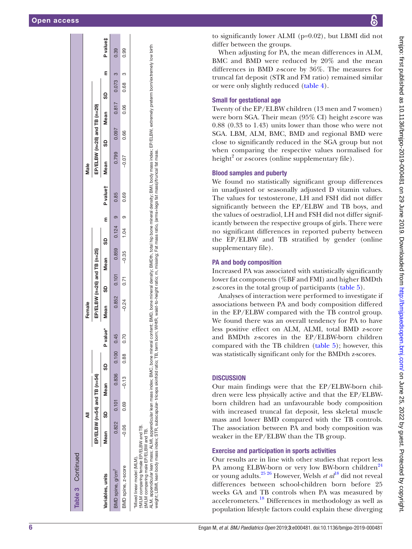| EP/ELBW (n=28) and TB (n=29)<br>Mean<br>0.097<br>SD<br>0.799<br>Mean<br>P valuet<br>$-0.85$<br>έ<br>$0.859$ $0.124$ 9<br>9<br>:P/ELBW (n=26) and TB (n=25)<br>Mean<br>0.852 0.101<br>ralue* Mean SD<br>0.45<br>é<br>0.822 0.101 0.836 0.100<br>Mean SD Mean SD<br>EP/ELBW (n=54) and TB (n=54)<br>BMD spine, g/cm <sup>2</sup><br>/ariables, units |                    |         | ₹ |  |      | Female |  |          |      | Male    |      |      |               |          |          |
|----------------------------------------------------------------------------------------------------------------------------------------------------------------------------------------------------------------------------------------------------------------------------------------------------------------------------------------------------|--------------------|---------|---|--|------|--------|--|----------|------|---------|------|------|---------------|----------|----------|
|                                                                                                                                                                                                                                                                                                                                                    |                    |         |   |  |      |        |  |          |      |         |      |      |               |          |          |
|                                                                                                                                                                                                                                                                                                                                                    |                    |         |   |  |      |        |  |          |      |         |      |      | 9             | E        | P value‡ |
|                                                                                                                                                                                                                                                                                                                                                    |                    |         |   |  |      |        |  |          |      |         |      |      | 0.817 0.073 3 |          | 0.39     |
| $-0.24$ 0.71 $-0.35$<br>$0.69 - 0.13$ 0.88                                                                                                                                                                                                                                                                                                         | BMD spine, z-score | $-0.06$ |   |  | 0.70 |        |  | $1.04$ 9 | 0.69 | $-0.07$ | 0.66 | 0.06 | 0.68          | $\infty$ | 0.99     |

#MLM comparing male EP/ELBW and TB. ‡MLM comparing male EP/ELBW and TB.

ineral content; BMD, bone mineral density; BMDth, total hip bone mineral density; BMI, body mass index; EP/ELBW, extremely preterm born/extremely low birth<br>term bom; WHtR, waist-to-height ratio; m, missing; Fat mass ratio ALM, appendicular lean mass; ALMI, appendicular lean mass index: BMC, bone mineral BMD, bone mineral density; BMI, body mass index; EP/ELBW, extremely preterm born/extremely low birth weight; LBMI, lean body mass index; STR, subscapular-triceps skinfold ratio; TB, term born; WHtR, waist-to-height ratio; m, missing; Fat mass ratio, (arms+legs fat mass)/truncal fat mass. ALM, appendicular lean mass; ALMI, appendicular lean mass index; BMC, bone mineral content;<br>weight; LBMI, lean body mass index; STR, subscapular-triceps skinfold ratio; TB, term born; WH to significantly lower ALMI (p=0.02), but LBMI did not differ between the groups.

When adjusting for PA, the mean differences in ALM, BMC and BMD were reduced by 20% and the mean differences in BMD z-score by 36%. The measures for truncal fat deposit (STR and FM ratio) remained similar or were only slightly reduced [\(table](#page-6-0) 4).

# Small for gestational age

Twenty of the EP/ELBW children (13 men and 7 women) were born SGA. Their mean (95% CI) height z-score was 0.88 (0.33 to 1.43) units lower than those who were not SGA. LBM, ALM, BMC, BMD and regional BMD were close to significantly reduced in the SGA group but not when comparing the respective values normalised for height<sup>2</sup> or z-scores [\(online supplementary file](https://dx.doi.org/10.1136/bmjpo-2019-000481)).

# Blood samples and puberty

We found no statistically significant group differences in unadjusted or seasonally adjusted D vitamin values. The values for testosterone, LH and FSH did not differ significantly between the EP/ELBW and TB boys, and the values of oestradiol, LH and FSH did not differ significantly between the respective groups of girls. There were no significant differences in reported puberty between the EP/ELBW and TB stratified by gender [\(online](https://dx.doi.org/10.1136/bmjpo-2019-000481) [supplementary file](https://dx.doi.org/10.1136/bmjpo-2019-000481)).

# PA and body composition

Increased PA was associated with statistically significantly lower fat components (%BF and FMI) and higher BMDth z-scores in the total group of participants ([table](#page-7-0) 5).

Analyses of interaction were performed to investigate if associations between PA and body composition differed in the EP/ELBW compared with the TB control group. We found there was an overall tendency for PA to have less positive effect on ALM, ALMI, total BMD z-score and BMDth z-scores in the EP/ELBW-born children compared with the TB children ([table](#page-7-0) 5); however, this was statistically significant only for the BMDth z-scores.

# **DISCUSSION**

Our main findings were that the EP/ELBW-born chil dren were less physically active and that the EP/ELBWborn children had an unfavourable body composition with increased truncal fat deposit, less skeletal muscle mass and lower BMD compared with the TB controls. The association between PA and body composition was weaker in the EP/ELBW than the TB group.

# Exercise and participation in sports activities

Our results are in line with other studies that report less PA among ELBW-born or very low BW-born children<sup>[24](#page-10-1)</sup> or young adults.[25 26](#page-10-2) However, Welsh *et al*[18](#page-9-7) did not reveal differences between school-children born before 25 weeks GA and TB controls when PA was measured by accelerometers.<sup>[18](#page-9-7)</sup> Differences in methodology as well as population lifestyle factors could explain these diverging

Table 3 Continued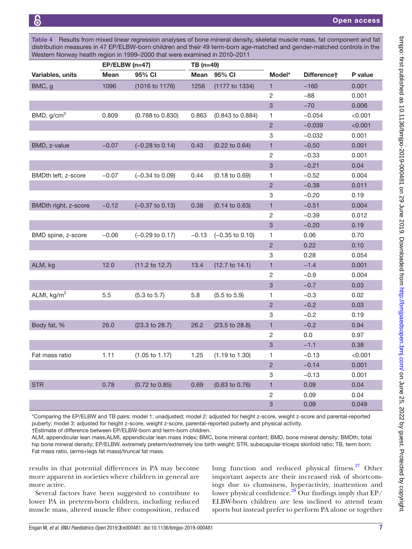<span id="page-6-0"></span>Table 4 Results from mixed linear regression analyses of bone mineral density, skeletal muscle mass, fat component and fat distribution measures in 47 EP/ELBW-born children and their 49 term-born age-matched and gender-matched controls in the Western Norway health region in 1999–2000 that were examined in 2010–2011

|                        |             | $EP/ELBW$ (n=47)           | TB (n=49) |                            |                           |             |         |
|------------------------|-------------|----------------------------|-----------|----------------------------|---------------------------|-------------|---------|
| Variables, units       | <b>Mean</b> | 95% CI                     | Mean      | 95% CI                     | Model*                    | Difference† | P value |
| BMC, g                 | 1096        | (1016 to 1176)             | 1256      | (1177 to 1334)             | $\mathbf{1}$              | $-160$      | 0.001   |
|                        |             |                            |           |                            | $\overline{c}$            | $-88$       | 0.001   |
|                        |             |                            |           |                            | $\ensuremath{\mathsf{3}}$ | $-70$       | 0.006   |
| BMD, g/cm <sup>2</sup> | 0.809       | (0.788 to 0.830)           | 0.863     | (0.843 to 0.884)           | 1                         | $-0.054$    | < 0.001 |
|                        |             |                            |           |                            | $\overline{2}$            | $-0.039$    | < 0.001 |
|                        |             |                            |           |                            | 3                         | $-0.032$    | 0.001   |
| BMD, z-value           | $-0.07$     | $(-0.28 \text{ to } 0.14)$ | 0.43      | $(0.22 \text{ to } 0.64)$  | $\mathbf{1}$              | $-0.50$     | 0.001   |
|                        |             |                            |           |                            | $\overline{c}$            | $-0.33$     | 0.001   |
|                        |             |                            |           |                            | $\ensuremath{\mathsf{3}}$ | $-0.21$     | 0.04    |
| BMDth left, z-score    | $-0.07$     | $(-0.34 \text{ to } 0.09)$ | 0.44      | $(0.18 \text{ to } 0.69)$  | 1                         | $-0.52$     | 0.004   |
|                        |             |                            |           |                            | $\sqrt{2}$                | $-0.38$     | 0.011   |
|                        |             |                            |           |                            | $\ensuremath{\mathsf{3}}$ | $-0.20$     | 0.19    |
| BMDth right, z-score   | $-0.12$     | $(-0.37 \text{ to } 0.13)$ | 0.38      | $(0.14 \text{ to } 0.63)$  | $\mathbf{1}$              | $-0.51$     | 0.004   |
|                        |             |                            |           |                            | $\sqrt{2}$                | $-0.39$     | 0.012   |
|                        |             |                            |           |                            | 3                         | $-0.20$     | 0.19    |
| BMD spine, z-score     | $-0.06$     | $(-0.29 \text{ to } 0.17)$ | $-0.13$   | $(-0.35 \text{ to } 0.10)$ | 1                         | 0.06        | 0.70    |
|                        |             |                            |           |                            | $\sqrt{2}$                | 0.22        | 0.10    |
|                        |             |                            |           |                            | $\ensuremath{\mathsf{3}}$ | 0.28        | 0.054   |
| ALM, kg                | 12.0        | (11.2 to 12.7)             | 13.4      | $(12.7 \text{ to } 14.1)$  | $\mathbf{1}$              | $-1.4$      | 0.001   |
|                        |             |                            |           |                            | $\sqrt{2}$                | $-0.9$      | 0.004   |
|                        |             |                            |           |                            | $\mathbf{3}$              | $-0.7$      | 0.03    |
| ALMI, $\text{kg/m}^2$  | 5.5         | $(5.3 \text{ to } 5.7)$    | 5.8       | $(5.5 \text{ to } 5.9)$    | $\mathbf{1}$              | $-0.3$      | 0.02    |
|                        |             |                            |           |                            | $\overline{2}$            | $-0.2$      | 0.03    |
|                        |             |                            |           |                            | $\ensuremath{\mathsf{3}}$ | $-0.2$      | 0.19    |
| Body fat, %            | 26.0        | (23.3 to 28.7)             | 26.2      | $(23.5 \text{ to } 28.8)$  | $\mathbf{1}$              | $-0.2$      | 0.94    |
|                        |             |                            |           |                            | $\sqrt{2}$                | 0.0         | 0.97    |
|                        |             |                            |           |                            | $\ensuremath{\mathsf{3}}$ | $-1.1$      | 0.38    |
| Fat mass ratio         | 1.11        | $(1.05 \text{ to } 1.17)$  | 1.25      | $(1.19 \text{ to } 1.30)$  | 1                         | $-0.13$     | < 0.001 |
|                        |             |                            |           |                            | $\overline{c}$            | $-0.14$     | 0.001   |
|                        |             |                            |           |                            | 3                         | $-0.13$     | 0.001   |
| <b>STR</b>             | 0.78        | $(0.72 \text{ to } 0.85)$  | 0.69      | $(0.63 \text{ to } 0.76)$  | $\mathbf{1}$              | 0.09        | 0.04    |
|                        |             |                            |           |                            | $\sqrt{2}$                | 0.09        | 0.04    |
|                        |             |                            |           |                            | $\ensuremath{\mathsf{3}}$ | 0.09        | 0.049   |

\*Comparing the EP/ELBW and TB pairs: model 1: unadjusted; model 2: adjusted for height z-score, weight z-score and parental-reported puberty; model 3: adjusted for height z-score, weight z-score, parental-reported puberty and physical activity.

†Estimate of difference between EP/ELBW-born and term-born children.

ALM, appendicular lean mass;ALMI, appendicular lean mass index; BMC, bone mineral content; BMD, bone mineral density; BMDth, total hip bone mineral density; EP/ELBW, extremely preterm/extremely low birth weight; STR, subscapular-triceps skinfold ratio; TB, term born; Fat mass ratio, (arms+legs fat mass)/truncal fat mass.

results in that potential differences in PA may become more apparent in societies where children in general are more active.

Several factors have been suggested to contribute to lower PA in preterm-born children, including reduced muscle mass, altered muscle fibre composition, reduced

lung function and reduced physical fitness. $27$  Other important aspects are their increased risk of shortcomings due to clumsiness, hyperactivity, inattention and lower physical confidence.<sup>[28](#page-10-4)</sup> Our findings imply that  $EP/$ ELBW-born children are less inclined to attend team sports but instead prefer to perform PA alone or together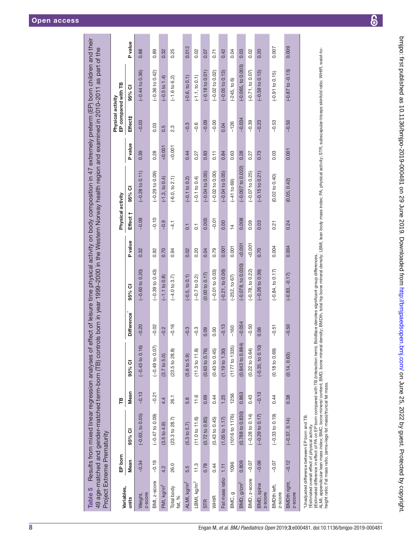| Project Extreme Prematurity<br>Table 5 |         | Results from mixed linear regression analyses of |             | 49 age-matched and gender-matched term-born (TB) controls born in year 1999-2000 in the Western Norway health region and examined in 2010-2011 as part of the |                   | effect of leisure time physical activity on body composition in 47 extremely preterm (EP) born children and their |         |                   |                            |                   |                                          |                             |                |
|----------------------------------------|---------|--------------------------------------------------|-------------|---------------------------------------------------------------------------------------------------------------------------------------------------------------|-------------------|-------------------------------------------------------------------------------------------------------------------|---------|-------------------|----------------------------|-------------------|------------------------------------------|-----------------------------|----------------|
| Variables,                             | EP born |                                                  | FB          |                                                                                                                                                               |                   |                                                                                                                   |         | Physical activity |                            |                   | EP compared with TB<br>Physical activity |                             |                |
| units                                  | Mean    | 95% CI                                           | <b>Mean</b> | 95% CI                                                                                                                                                        | <b>Difference</b> | 95% CI                                                                                                            | P value | Effect †          | 95% CI                     | P value           | <b>Effect</b>                            | 95% CI                      | <b>P</b> value |
| z-score<br>Weight,                     | $-0.34$ | $(-0.63, to 0.05)$                               | $-0.13$     | $(-0.43 \text{ to } 0.16)$                                                                                                                                    | $-0.20$           | $(-0.60 to 0.20)$                                                                                                 | 0.32    | $-0.09$           | $(-0.28 \text{ to } 0.11)$ | 0.39              | $-0.03$                                  | $(-0.44 \text{ to } 0.36)$  | 0.88           |
| BMI, z-score                           | $-0.19$ | $(-0.47$ to 0.09)                                | $-0.21$     | $(-0.49)$ to 0.07                                                                                                                                             | $-0.02$           | $(-0.39$ to 0.43)                                                                                                 | 0.92    | $-0.10$           | $(-0.29 to 0.09)$          | 0.28              | 0.03                                     | $(-0.36$ to 0.42)           | 0.89           |
| FMI, kg/m <sup>2</sup>                 | 4.2     | (3.5 to 4.9)                                     | 4.4         | $(3.7 \text{ to } 5.0)$                                                                                                                                       | $-0.2$            | $(-1.1 to 0.8)$                                                                                                   | 0.70    | $-0.9$            | $(-1.3, t_0 0.4)$          | 0.001             | 0.5                                      | $(-0.5 to 1.4)$             | 0.32           |
| Total body<br>fat, %                   | 26.0    | $(23.3 \text{ to } 28.7)$                        | 26.1        | (23.5 to 28.8)                                                                                                                                                | $-0.16$           | $(-4.0 to 3.7)$                                                                                                   | 0.94    | $-4.1$            | $(-6.0, t_0 2.1)$          | 0.001             | 2.3                                      | $(-1.6 to 6,2)$             | 0.25           |
| ALMI, kg/m <sup>2</sup>                | 5.5     | (5.3 to 5.7)                                     | 5.8         | (5.6 to 5.9)                                                                                                                                                  | $-0.3$            | $(-0.5, to 0.1)$                                                                                                  | 0.02    | $\overline{0}$    | $(-0.1 to 0.2)$            | 0.44              | $-0.3$                                   | $(-0.6, t_0 0.1)$           | 0.012          |
| LBMI, kg/m <sup>2</sup>                | 11.3    | (11.0 to 11.6)                                   | 11.6        | $(11.3 \text{ to } 11.8)$                                                                                                                                     | $-0.3$            | $(-0.7 to 0.2)$                                                                                                   | 0.20    | $\overline{0}$    | $(-0.1 to 0.4)$            | 0.27              | $-0.6$                                   | $(-1.1, to 0.1)$            | 0.02           |
| <b>STR</b>                             | 0.78    | $(0.72 \text{ to } 0.85)$                        | 0.69        | $(0.63 \text{ to } 0.76)$                                                                                                                                     | 0.09              | (0.00 to 0.17)                                                                                                    | 0.04    | 0.005             | $(-0.04 to 0.05)$          | 0.83              | $-0.09$                                  | $(-0.18 \text{ to } 0.01)$  | 0.07           |
| WHtR                                   | 0.44    | (0.43 to 0.45)                                   | 0.44        | $(0.43$ to $0.45)$                                                                                                                                            | 0.00              | $(-0.01 to 0.03)$                                                                                                 | 0.79    | $-0.01$           | $(-0.02 \text{ to } 0.00)$ | $\overline{0.11}$ | $-0.00$                                  | $(-0.02$ to $0.02)$         | 0.71           |
| Fat mass ratio                         | 1.11    | (1.05 to 1.17)                                   | 1.25        | $(1.19 \text{ to } 1.30)$                                                                                                                                     | $-0.13$           | $(-0.21, to 0.06)$                                                                                                | 0.001   | 0.00              | $(-0.04 to 0.05)$          | 0.84              | 0.04                                     | $(-0.05 \text{ to } 0.13)$  | 0.42           |
| BMC, g                                 | 1096    | (1016 to 1176)                                   | 1256        | $(1177$ to $1335$ )                                                                                                                                           | $-160$            | $(-252, to 67)$                                                                                                   | 0.001   | $\frac{4}{3}$     | $(-41)$ to 69)             | 0.63              | $-126$                                   | $(-245, to 6)$              | 0.04           |
| BMD, g/cm <sup>2</sup>                 | 0.809   | $(0.788 \text{ to } 0.830)$                      | 0.863       | $\widehat{+}$<br>(0.843 to 0.88                                                                                                                               | $-0.054$          | $(-0.078, to 0.030)$                                                                                              | &0.001  | 0.008             | $(-0.007 to 0.022)$        | 0.28              | $-0.034$                                 | $(-0.065, to 0.003)$        | 0.03           |
| BMD, z-score                           | $-0.07$ | $(-0.28$ to 0.14)                                | 0.43        | $(0.22 \text{ to } 0.64)$                                                                                                                                     | $-0.50$           | $(-0.78, to 0.22)$                                                                                                | 0.007   | 0.09              | $(-0.07 to 0.25)$          | 0.27              | $-0.39$                                  | $(-0.71, to 0.07)$          | 0.02           |
| BMD, spine<br>z-score                  | $-0.06$ | $(-0.29$ to $0.17)$                              | $-0.13$     | $(-0.35, t_0 0.10)$                                                                                                                                           | 0.06              | $(-0.26 \text{ to } 0.39)$                                                                                        | 0.70    | 0.03              | $(-0.15 to 0.21)$          | 0.73              | $-0.23$                                  | $(-0.59 \text{ to } 0.13)$  | 0.20           |
| BMDth left,<br>z-score                 | $-0.07$ | $(-0.33$ to 0.19)                                | 0.44        | $(0.18 \text{ to } 0.69)$                                                                                                                                     | $-0.51$           | $(-0.84, to 0.17)$                                                                                                | 0.004   | 0.21              | $(0.02 \text{ to } 0.40)$  | 0.03              | $-0.53$                                  | $(-0.91 to 0.15)$           | 0.007          |
| BMDth right,<br>z-score                | $-0.12$ | $(-0.37, 0.14)$                                  | 0.38        | (0.14, 0.63)                                                                                                                                                  | $-0.50$           | $(-0.83, -0.17)$                                                                                                  | 0.004   | 0.24              | (0.05, 0.42)               | 0.001             | $-0.50$                                  | $(-0.87 \text{ to } -0.13)$ | 0.009          |
|                                        |         | *Unadjusted difference between EP born and TB.   |             |                                                                                                                                                               |                   |                                                                                                                   |         |                   |                            |                   |                                          |                             |                |

<span id="page-7-0"></span>†Estimated overall effect of physical activity.

‡Estimated difference in effect of PA on EP born compared with TB (interaction term). Boldface denotes significant group differences.

†Estimated overall effect of physical activity.<br>≄Estimaped difference in effect of PA on EP born compared with TB (interaction term). Boldface denotes significant group differences.<br>≄Estimaped difference in effect of PA o ALMI, appendicular lean mass index; BMC, bone mineral content; BMD, bone mineral density; BMDth, total hip bone mineral density; LBMI, lean body mass index; PA, physical activity; STR, subscapular-triceps skinfold ratio; W

height ratio; Fat mass ratio, (arms+legs fat mass)/truncal fat mass.

 $\overline{6}$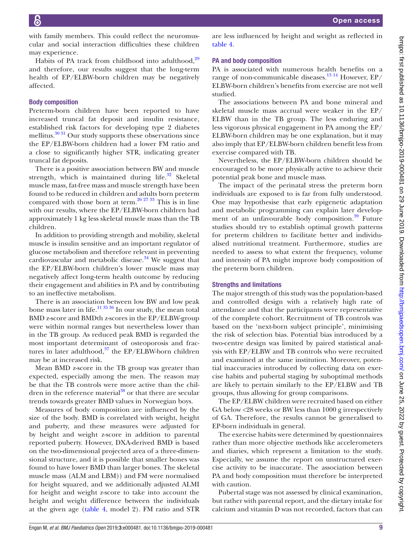with family members. This could reflect the neuromuscular and social interaction difficulties these children may experience.

Habits of PA track from childhood into adulthood, $29$ and therefore, our results suggest that the long-term health of EP/ELBW-born children may be negatively affected.

#### Body composition

Preterm-born children have been reported to have increased truncal fat deposit and insulin resistance, established risk factors for developing type 2 diabetes mellitus.<sup>30 31</sup> Our study supports these observations since the EP/ELBW-born children had a lower FM ratio and a close to significantly higher STR, indicating greater truncal fat deposits.

There is a positive association between BW and muscle strength, which is maintained during life. $32$  Skeletal muscle mass, fat-free mass and muscle strength have been found to be reduced in children and adults born preterm compared with those born at term.<sup>26 27 33</sup> This is in line with our results, where the EP/ELBW-born children had approximately 1 kg less skeletal muscle mass than the TB children.

In addition to providing strength and mobility, skeletal muscle is insulin sensitive and an important regulator of glucose metabolism and therefore relevant in preventing cardiovascular and metabolic disease. $34$  We suggest that the EP/ELBW-born children's lower muscle mass may negatively affect long-term health outcome by reducing their engagement and abilities in PA and by contributing to an ineffective metabolism.

There is an association between low BW and low peak bone mass later in life. $^{11\,35\,36}$  In our study, the mean total BMD z-score and BMDth z-scores in the EP/ELBW-group were within normal ranges but nevertheless lower than in the TB group. As reduced peak BMD is regarded the most important determinant of osteoporosis and fractures in later adulthood, $37$  the EP/ELBW-born children may be at increased risk.

Mean BMD z-score in the TB group was greater than expected, especially among the men. The reason may be that the TB controls were more active than the children in the reference material<sup>38</sup> or that there are secular trends towards greater BMD values in Norwegian boys.

Measures of body composition are influenced by the size of the body. BMD is correlated with weight, height and puberty, and these measures were adjusted for by height and weight z-score in addition to parental reported puberty. However, DXA-derived BMD is based on the two-dimensional projected area of a three-dimensional structure, and it is possible that smaller bones was found to have lower BMD than larger bones. The skeletal muscle mass (ALM and LBM)) and FM were normalised for height squared, and we additionally adjusted ALMI for height and weight z-score to take into account the height and weight difference between the individuals at the given age [\(table](#page-6-0) 4, model 2). FM ratio and STR

are less influenced by height and weight as reflected in [table](#page-6-0) 4.

#### PA and body composition

PA is associated with numerous health benefits on a range of non-communicable diseases. $^{13}$  14 However, EP/ ELBW-born children's benefits from exercise are not well studied.

The associations between PA and bone mineral and skeletal muscle mass accrual were weaker in the EP/ ELBW than in the TB group. The less enduring and less vigorous physical engagement in PA among the EP/ ELBW-born children may be one explanation, but it may also imply that EP/ELBW-born children benefit less from exercise compared with TB.

Nevertheless, the EP/ELBW-born children should be encouraged to be more physically active to achieve their potential peak bone and muscle mass.

The impact of the perinatal stress the preterm born individuals are exposed to is far from fully understood. One may hypothesise that early epigenetic adaptation and metabolic programming can explain later development of an unfavourable body composition.<sup>39</sup> Future studies should try to establish optimal growth patterns for preterm children to facilitate better and individualised nutritional treatment. Furthermore, studies are needed to assess to what extent the frequency, volume and intensity of PA might improve body composition of the preterm born children.

### Strengths and limitations

The major strength of this study was the population-based and controlled design with a relatively high rate of attendance and that the participants were representative of the complete cohort. Recruitment of TB controls was based on the 'next-born subject principle', minimising the risk of selection bias. Potential bias introduced by a two-centre design was limited by paired statistical analysis with EP/ELBW and TB controls who were recruited and examined at the same institution. Moreover, potential inaccuracies introduced by collecting data on exercise habits and pubertal staging by suboptimal methods are likely to pertain similarly to the EP/ELBW and TB groups, thus allowing for group comparisons.

The EP/ELBW children were recruited based on either GA below <28 weeks or BW less than 1000 g irrespectively of GA. Therefore, the results cannot be generalised to EP-born individuals in general.

The exercise habits were determined by questionnaires rather than more objective methods like accelerometers and diaries, which represent a limitation to the study. Especially, we assume the report on unstructured exercise activity to be inaccurate. The association between PA and body composition must therefore be interpreted with caution.

Pubertal stage was not assessed by clinical examination, but rather with parental report, and the dietary intake for calcium and vitamin D was not recorded, factors that can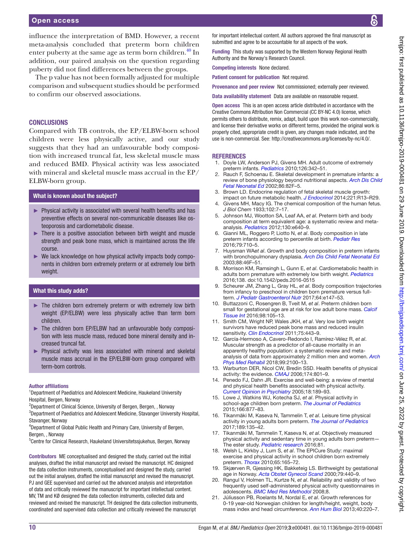Authority and the Norway's Research Council. Competing interests None declared. Patient consent for publication Not required. Provenance and peer review Not commissioned; externally peer reviewed. Data availability statement Data are available on reasonable request. Open access This is an open access article distributed in accordance with the Creative Commons Attribution Non Commercial (CC BY-NC 4.0) license, which permits others to distribute, remix, adapt, build upon this work non-commercially, and license their derivative works on different terms, provided the original work is properly cited, appropriate credit is given, any changes made indicated, and the use is non-commercial. See:<http://creativecommons.org/licenses/by-nc/4.0/>. **REFERENCES** 1. Doyle LW, Anderson PJ, Givens MH. Adult outcome of extremely preterm infants. *[Pediatrics](http://dx.doi.org/10.1542/peds.2010-0710)* 2010;126:342–51. 2. Rauch F, Schoenau E. Skeletal development in premature infants: a review of bone physiology beyond nutritional aspects. *[Arch Dis Child](http://dx.doi.org/10.1136/fn.86.2.F82)  [Fetal Neonatal Ed](http://dx.doi.org/10.1136/fn.86.2.F82)* 2002;86:82F–5. 3. Brown LD. Endocrine regulation of fetal skeletal muscle growth: impact on future metabolic health. *[J Endocrinol](http://dx.doi.org/10.1530/JOE-13-0567)* 2014;221:R13–R29. 4. Givens MH, Macy IG. The chemical composition of the human fetus. *J Biol Chem* 1933;102:7–17. 2016;79:710–5. 2003;88:46F–51.

- <span id="page-9-0"></span>5. Johnson MJ, Wootton SA, Leaf AA, *et al*. Preterm birth and body composition at term equivalent age: a systematic review and metaanalysis. *[Pediatrics](http://dx.doi.org/10.1542/peds.2011-3379)* 2012;130:e640–9.
- 6. Giannì ML, Roggero P, Liotto N, *et al*. Body composition in late preterm infants according to percentile at birth. *[Pediatr Res](http://dx.doi.org/10.1038/pr.2015.273)*
- 7. Huysman WA*et al*. Growth and body composition in preterm infants with bronchopulmonary dysplasia. *[Arch Dis Child Fetal Neonatal Ed](http://dx.doi.org/10.1136/fn.88.1.F46)*
- <span id="page-9-1"></span>8. Morrison KM, Ramsingh L, Gunn E, *et al*. Cardiometabolic health in adults born premature with extremely low birth weight. *[Pediatrics](http://dx.doi.org/10.1542/peds.2016-0515)* 2016;138. doi:10.1542/peds.2016-0515
- 9. Scheurer JM, Zhang L, Gray HL, *et al*. Body composition trajectories from infancy to preschool in children born premature versus fullterm. *[J Pediatr Gastroenterol Nutr](http://dx.doi.org/10.1097/MPG.0000000000001494)* 2017;64:e147–53.
- <span id="page-9-2"></span>10. Buttazzoni C, Rosengren B, Tveit M, *et al*. Preterm children born small for gestational age are at risk for low adult bone mass. *[Calcif](http://dx.doi.org/10.1007/s00223-015-0069-3)  [Tissue Int](http://dx.doi.org/10.1007/s00223-015-0069-3)* 2016;98:105–13.
- <span id="page-9-8"></span>11. Smith CM, Wright NP, Wales JKH, *et al*. Very low birth weight survivors have reduced peak bone mass and reduced insulin sensitivity. *[Clin Endocrinol](http://dx.doi.org/10.1111/j.1365-2265.2011.04118.x)* 2011;75:443–9.
- 12. García-Hermoso A, Cavero-Redondo I, Ramírez-Vélez R, *et al*. Muscular strength as a predictor of all-cause mortality in an apparently healthy population: a systematic review and metaanalysis of data from approximately 2 million men and women. *[Arch](http://dx.doi.org/10.1016/j.apmr.2018.01.008)  [Phys Med Rehabil](http://dx.doi.org/10.1016/j.apmr.2018.01.008)* 2018;99:2100–13.
- <span id="page-9-3"></span>13. Warburton DER, Nicol CW, Bredin SSD. Health benefits of physical activity: the evidence. *[CMAJ](http://dx.doi.org/10.1503/cmaj.051351)* 2006;174:801–9.
- 14. Penedo FJ, Dahn JR. Exercise and well-being: a review of mental and physical health benefits associated with physical activity. *[Current Opinion in Psychiatry](http://dx.doi.org/10.1097/00001504-200503000-00013)* 2005;18:189–93.
- <span id="page-9-4"></span>15. Lowe J, Watkins WJ, Kotecha SJ, *et al*. Physical activity in school-age children born preterm. *[The Journal of Pediatrics](http://dx.doi.org/10.1016/j.jpeds.2014.12.013)* 2015;166:877–83.
- 16. Tikanmäki M, Kaseva N, Tammelin T, *et al*. Leisure time physical activity in young adults born preterm. *[The Journal of Pediatrics](http://dx.doi.org/10.1016/j.jpeds.2017.06.068)* 2017;189:135–42.
- 17. Tikanmäki M, Tammelin T, Kaseva N, *et al*. Objectively measured physical activity and sedentary time in young adults born preterm— The ester study. *[Pediatric research](http://dx.doi.org/10.1038/pr.2016.262)* 2016;81.
- <span id="page-9-7"></span>18. Welsh L, Kirkby J, Lum S, *et al*. The EPICure Study: maximal exercise and physical activity in school children born extremely preterm. *[Thorax](http://dx.doi.org/10.1136/thx.2008.107474)* 2010;65:165–72.
- <span id="page-9-5"></span>19. Skjærven R, Gjessing HK, Bakketeig LS. Birthweight by gestational age in Norway. *[Acta Obstet Gynecol Scand](http://dx.doi.org/10.1034/j.1600-0412.2000.079006440.x)* 2000;79:440–9.
- <span id="page-9-6"></span>20. Rangul V, Holmen TL, Kurtze N, *et al*. Reliability and validity of two frequently used self-administered physical activity questionnaires in adolescents. *[BMC Med Res Methodol](http://dx.doi.org/10.1186/1471-2288-8-47)* 2008;8.
- 21. Júlíusson PB, Roelants M, Nordal E, *et al*. Growth references for 0-19 year-old Norwegian children for length/height, weight, body mass index and head circumference. *[Ann Hum Biol](http://dx.doi.org/10.3109/03014460.2012.759276)* 2013;40:220–7.

influence the interpretation of BMD. However, a recent meta-analysis concluded that preterm born children enter puberty at the same age as term born children. $^{40}$  $^{40}$  $^{40}$  In addition, our paired analysis on the question regarding puberty did not find differences between the groups.

The p value has not been formally adjusted for multiple comparison and subsequent studies should be performed to confirm our observed associations.

# **CONCLUSIONS**

Compared with TB controls, the EP/ELBW-born school children were less physically active, and our study suggests that they had an unfavourable body composition with increased truncal fat, less skeletal muscle mass and reduced BMD. Physical activity was less associated with mineral and skeletal muscle mass accrual in the EP/ ELBW-born group.

# What is known about the subject?

- ► Physical activity is associated with several health benefits and has preventive effects on several non-communicable diseases like osteoporosis and cardiometabolic disease.
- ► There is a positive association between birth weight and muscle strength and peak bone mass, which is maintained across the life course.
- $\triangleright$  We lack knowledge on how physical activity impacts body components in children born extremely preterm or at extremely low birth weight.

# What this study adds?

- ► The children born extremely preterm or with extremely low birth weight (EP/ELBW) were less physically active than term born children.
- ► The children born EP/ELBW had an unfavourable body composition with less muscle mass, reduced bone mineral density and increased truncal fat.
- ► Physical activity was less associated with mineral and skeletal muscle mass accrual in the EP/ELBW-born group compared with term-born controls.

## Author affiliations

<sup>1</sup>Department of Paediatrics and Adolescent Medicine, Haukeland University Hospital, Bergen, Norway

<sup>2</sup>Department of Clinical Science, University of Bergen, Bergen, , Norway

<sup>3</sup>Department of Paediatrics and Adolescent Medicine, Stavanger University Hospital, Stavanger, Norway

4 Department of Global Public Health and Primary Care, University of Bergen, Bergen, , Norway

<sup>5</sup>Centre for Clinical Research, Haukeland Universitetssjukehus, Bergen, Norway

Contributors ME conceptualised and designed the study, carried out the initial analyses, drafted the initial manuscript and revised the manuscript. HC designed the data collection instruments, conceptualised and designed the study, carried out the initial analyses, drafted the initial manuscript and revised the manuscript. PJ and GEE supervised and carried out the advanced analysis and interpretation of data and critically reviewed the manuscript for important intellectual content. MV, TM and KØ designed the data collection instruments, collected data and reviewed and revised the manuscript. TH designed the data collection instruments, coordinated and supervised data collection and critically reviewed the manuscript